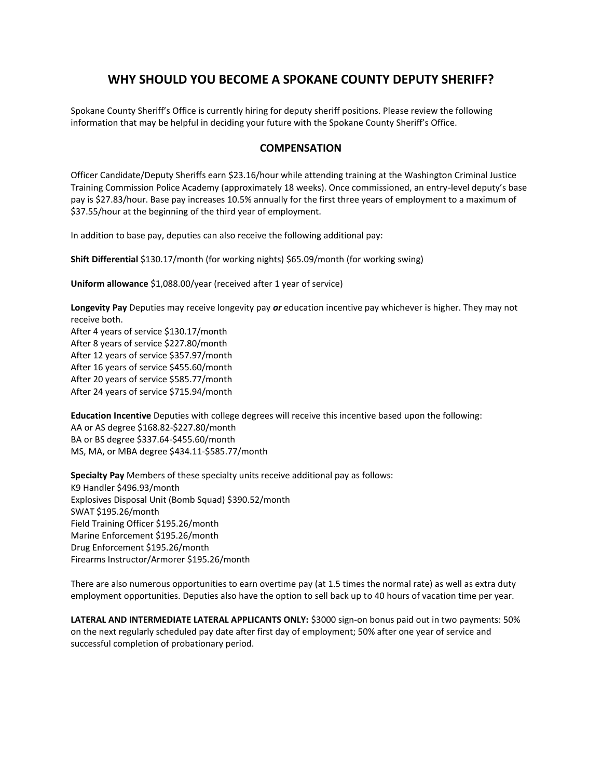# **WHY SHOULD YOU BECOME A SPOKANE COUNTY DEPUTY SHERIFF?**

Spokane County Sheriff's Office is currently hiring for deputy sheriff positions. Please review the following information that may be helpful in deciding your future with the Spokane County Sheriff's Office.

# **COMPENSATION**

Officer Candidate/Deputy Sheriffs earn \$23.16/hour while attending training at the Washington Criminal Justice Training Commission Police Academy (approximately 18 weeks). Once commissioned, an entry-level deputy's base pay is \$27.83/hour. Base pay increases 10.5% annually for the first three years of employment to a maximum of \$37.55/hour at the beginning of the third year of employment.

In addition to base pay, deputies can also receive the following additional pay:

**Shift Differential** \$130.17/month (for working nights) \$65.09/month (for working swing)

**Uniform allowance** \$1,088.00/year (received after 1 year of service)

**Longevity Pay** Deputies may receive longevity pay *or* education incentive pay whichever is higher. They may not receive both.

After 4 years of service \$130.17/month After 8 years of service \$227.80/month After 12 years of service \$357.97/month After 16 years of service \$455.60/month After 20 years of service \$585.77/month After 24 years of service \$715.94/month

**Education Incentive** Deputies with college degrees will receive this incentive based upon the following: AA or AS degree \$168.82-\$227.80/month BA or BS degree \$337.64-\$455.60/month MS, MA, or MBA degree \$434.11-\$585.77/month

**Specialty Pay** Members of these specialty units receive additional pay as follows: K9 Handler \$496.93/month Explosives Disposal Unit (Bomb Squad) \$390.52/month SWAT \$195.26/month Field Training Officer \$195.26/month Marine Enforcement \$195.26/month Drug Enforcement \$195.26/month Firearms Instructor/Armorer \$195.26/month

There are also numerous opportunities to earn overtime pay (at 1.5 times the normal rate) as well as extra duty employment opportunities. Deputies also have the option to sell back up to 40 hours of vacation time per year.

**LATERAL AND INTERMEDIATE LATERAL APPLICANTS ONLY:** \$3000 sign-on bonus paid out in two payments: 50% on the next regularly scheduled pay date after first day of employment; 50% after one year of service and successful completion of probationary period.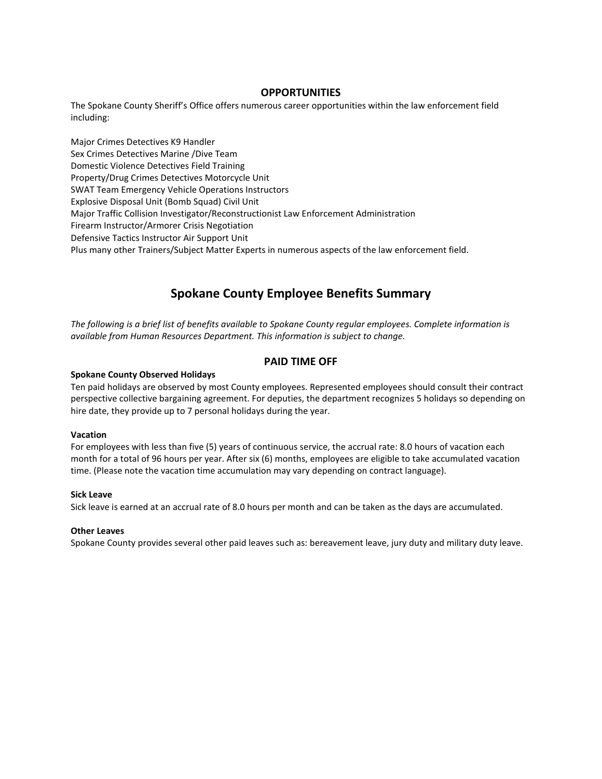# **OPPORTUNITIES**

The Spokane County Sheriff's Office offers numerous career opportunities within the law enforcement field including:

Major Crimes Detectives K9 Handler Sex Crimes Detectives Marine /Dive Team Domestic Violence Detectives Field Training Property/Drug Crimes Detectives Motorcycle Unit SWAT Team Emergency Vehicle Operations Instructors Explosive Disposal Unit (Bomb Squad) Civil Unit Major Traffic Collision Investigator/Reconstructionist Law Enforcement Administration Firearm Instructor/Armorer Crisis Negotiation Defensive Tactics Instructor Air Support Unit Plus many other Trainers/Subject Matter Experts in numerous aspects of the law enforcement field.

# **Spokane County Employee Benefits Summary**

*The following is a brief list of benefits available to Spokane County regular employees. Complete information is available from Human Resources Department. This information is subject to change.* 

# **PAID TIME OFF**

# **Spokane County Observed Holidays**

Ten paid holidays are observed by most County employees. Represented employees should consult their contract perspective collective bargaining agreement. For deputies, the department recognizes 5 holidays so depending on hire date, they provide up to 7 personal holidays during the year.

# **Vacation**

For employees with less than five (5) years of continuous service, the accrual rate: 8.0 hours of vacation each month for a total of 96 hours per year. After six (6) months, employees are eligible to take accumulated vacation time. (Please note the vacation time accumulation may vary depending on contract language).

# **Sick Leave**

Sick leave is earned at an accrual rate of 8.0 hours per month and can be taken as the days are accumulated.

# **Other Leaves**

Spokane County provides several other paid leaves such as: bereavement leave, jury duty and military duty leave.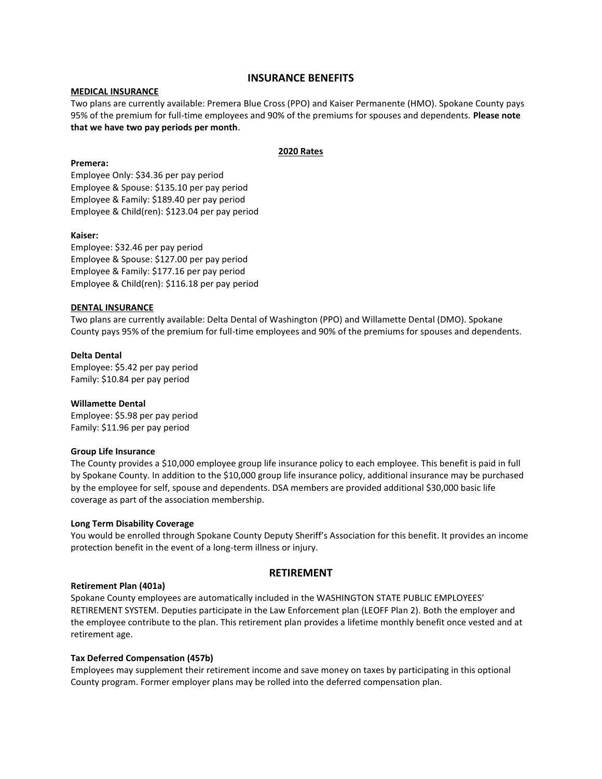# **INSURANCE BENEFITS**

# **MEDICAL INSURANCE**

Two plans are currently available: Premera Blue Cross (PPO) and Kaiser Permanente (HMO). Spokane County pays 95% of the premium for full-time employees and 90% of the premiums for spouses and dependents. **Please note that we have two pay periods per month**.

# **2020 Rates**

# **Premera:**

Employee Only: \$34.36 per pay period Employee & Spouse: \$135.10 per pay period Employee & Family: \$189.40 per pay period Employee & Child(ren): \$123.04 per pay period

#### **Kaiser:**

Employee: \$32.46 per pay period Employee & Spouse: \$127.00 per pay period Employee & Family: \$177.16 per pay period Employee & Child(ren): \$116.18 per pay period

# **DENTAL INSURANCE**

Two plans are currently available: Delta Dental of Washington (PPO) and Willamette Dental (DMO). Spokane County pays 95% of the premium for full-time employees and 90% of the premiums for spouses and dependents.

**Delta Dental**  Employee: \$5.42 per pay period Family: \$10.84 per pay period

# **Willamette Dental**

Employee: \$5.98 per pay period Family: \$11.96 per pay period

#### **Group Life Insurance**

The County provides a \$10,000 employee group life insurance policy to each employee. This benefit is paid in full by Spokane County. In addition to the \$10,000 group life insurance policy, additional insurance may be purchased by the employee for self, spouse and dependents. DSA members are provided additional \$30,000 basic life coverage as part of the association membership.

#### **Long Term Disability Coverage**

You would be enrolled through Spokane County Deputy Sheriff's Association for this benefit. It provides an income protection benefit in the event of a long-term illness or injury.

# **RETIREMENT**

#### **Retirement Plan (401a)**

Spokane County employees are automatically included in the WASHINGTON STATE PUBLIC EMPLOYEES' RETIREMENT SYSTEM. Deputies participate in the Law Enforcement plan (LEOFF Plan 2). Both the employer and the employee contribute to the plan. This retirement plan provides a lifetime monthly benefit once vested and at retirement age.

#### **Tax Deferred Compensation (457b)**

Employees may supplement their retirement income and save money on taxes by participating in this optional County program. Former employer plans may be rolled into the deferred compensation plan.